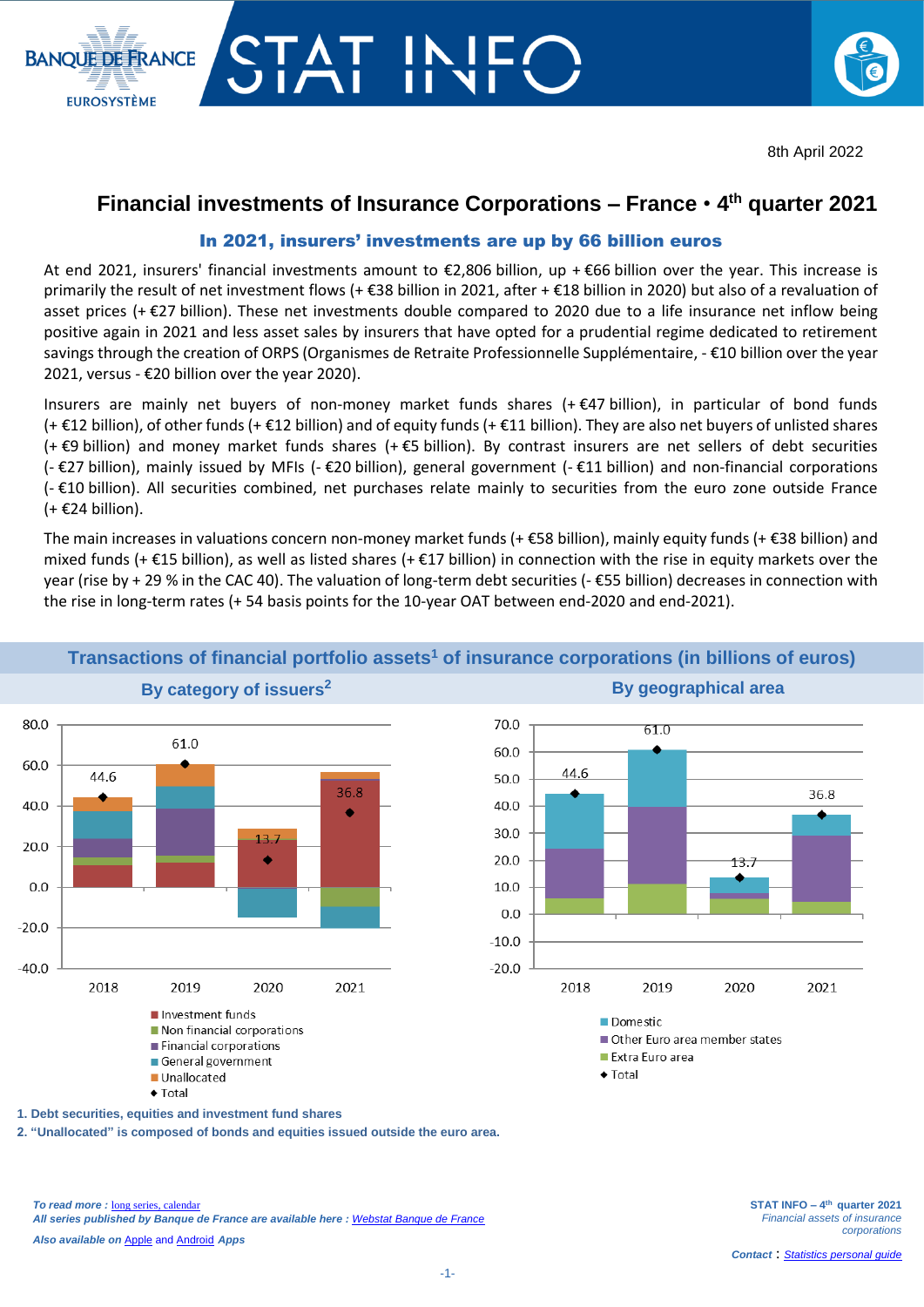

# **Financial investments of Insurance Corporations – France** • **4 th quarter 2021**

### In 2021, insurers' investments are up by 66 billion euros

TAT IN<br>IAT II

**BANOUE DE ERANCE** 

**EUROSYSTÈME** 

At end 2021, insurers' financial investments amount to €2,806 billion, up + €66 billion over the year. This increase is primarily the result of net investment flows (+ €38 billion in 2021, after + €18 billion in 2020) but also of a revaluation of asset prices (+ $\epsilon$ 27 billion). These net investments double compared to 2020 due to a life insurance net inflow being positive again in 2021 and less asset sales by insurers that have opted for a prudential regime dedicated to retirement savings through the creation of ORPS (Organismes de Retraite Professionnelle Supplémentaire, - €10 billion over the year 2021, versus - €20 billion over the year 2020).

Insurers are mainly net buyers of non-money market funds shares (+ €47 billion), in particular of bond funds (+ €12 billion), of other funds (+ €12 billion) and of equity funds (+ €11 billion). They are also net buyers of unlisted shares (+ €9 billion) and money market funds shares (+ €5 billion). By contrast insurers are net sellers of debt securities (- €27 billion), mainly issued by MFIs (- €20 billion), general government (- €11 billion) and non-financial corporations (- €10 billion). All securities combined, net purchases relate mainly to securities from the euro zone outside France  $(+ \epsilon 24$  billion).

The main increases in valuations concern non-money market funds (+ €58 billion), mainly equity funds (+ €38 billion) and mixed funds (+  $\epsilon$ 15 billion), as well as listed shares (+  $\epsilon$ 17 billion) in connection with the rise in equity markets over the year (rise by + 29 % in the CAC 40). The valuation of long-term debt securities (- €55 billion) decreases in connection with the rise in long-term rates (+ 54 basis points for the 10-year OAT between end-2020 and end-2021).



# **Transactions of financial portfolio assets<sup>1</sup> of insurance corporations (in billions of euros)**



 $\triangle$  Total

**1. Debt securities, equities and investment fund shares**

**2. "Unallocated" is composed of bonds and equities issued outside the euro area.**

*To read more :* [long](http://webstat.banque-france.fr/fr/browse.do?node=5384484) series[, calendar](https://www.banque-france.fr/economie-et-statistiques/calendrier.html) *All series published by Banque de France are available here : [Webstat Banque de France](http://webstat.banque-france.fr/fr/home.do)*

*Also available on* [Apple](https://itunes.apple.com/fr/app/banquefrance/id663817914?l=fr&ls=1&mt=8) and [Android](https://play.google.com/store/apps/details?id=fr.bdf.mobile&feature=search_result#?t=W251bGwsMSwyLDEsImZyLmJkZi5tb2JpbGUiXQ) *Apps*